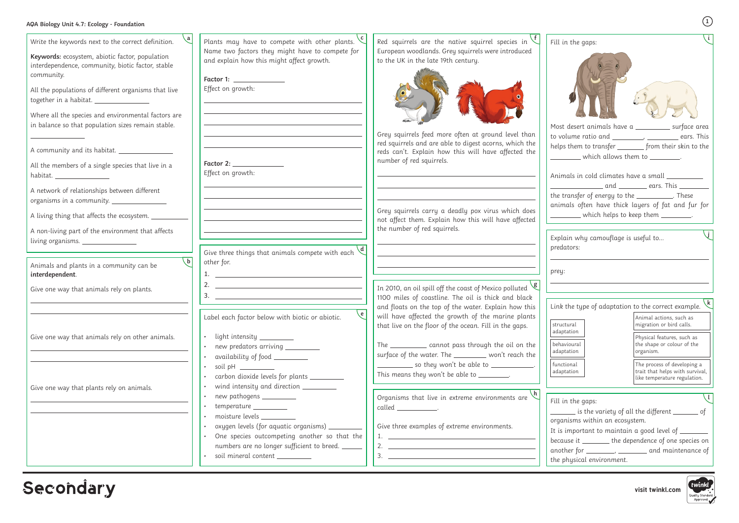## **AQA Biology Unit 4.7: Ecology - Foundation**

**visit twinkl.com**



| Linl        |  |
|-------------|--|
| stru<br>ada |  |
|             |  |

| fui |
|-----|
| ad  |
|     |
|     |

| Write the keywords next to the correct definition.<br>Keywords: ecosystem, abiotic factor, population<br>interdependence, community, biotic factor, stable | Plants may have to compete with other plants.<br>Name two factors they might have to compete for<br>and explain how this might affect growth.                                 | Red squirrels are the native squirrel species in<br>European woodlands. Grey squirrels were introduced<br>to the UK in the late 19th century.                                                                                                                                                                                                                                                                                                                                                                   | Fill in the gaps:                              |
|------------------------------------------------------------------------------------------------------------------------------------------------------------|-------------------------------------------------------------------------------------------------------------------------------------------------------------------------------|-----------------------------------------------------------------------------------------------------------------------------------------------------------------------------------------------------------------------------------------------------------------------------------------------------------------------------------------------------------------------------------------------------------------------------------------------------------------------------------------------------------------|------------------------------------------------|
| community.<br>All the populations of different organisms that live                                                                                         | Factor 1: _____________<br>Effect on growth:                                                                                                                                  |                                                                                                                                                                                                                                                                                                                                                                                                                                                                                                                 |                                                |
| Where all the species and environmental factors are<br>in balance so that population sizes remain stable.                                                  |                                                                                                                                                                               | Grey squirrels feed more often at ground level than<br>red squirrels and are able to digest acorns, which the                                                                                                                                                                                                                                                                                                                                                                                                   | Most desert ani<br>to volume ratio             |
| A community and its habitat.<br>All the members of a single species that live in a<br>habitat. ____________________                                        | Effect on growth:                                                                                                                                                             | reds can't. Explain how this will have affected the<br>number of red squirrels.                                                                                                                                                                                                                                                                                                                                                                                                                                 | helps them to ti<br>whic<br>Animals in cold    |
| A network of relationships between different<br>organisms in a community. __________________                                                               |                                                                                                                                                                               |                                                                                                                                                                                                                                                                                                                                                                                                                                                                                                                 | the transfer of<br>animals often               |
| A living thing that affects the ecosystem. _______<br>A non-living part of the environment that affects                                                    |                                                                                                                                                                               | Grey squirrels carry a deadly pox virus which does<br>not affect them. Explain how this will have affected<br>the number of red squirrels.                                                                                                                                                                                                                                                                                                                                                                      | ___________ whic                               |
| living organisms.                                                                                                                                          | Give three things that animals compete with each                                                                                                                              |                                                                                                                                                                                                                                                                                                                                                                                                                                                                                                                 | Explain why ca<br>predators:                   |
| $\mathsf{b}$<br>Animals and plants in a community can be<br>interdependent.                                                                                | other for.<br><u> 1989 - Andrea State Barbara, amerikan personal di sebagai personal di sebagai personal di sebagai personal di</u>                                           |                                                                                                                                                                                                                                                                                                                                                                                                                                                                                                                 | prey:                                          |
| Give one way that animals rely on plants.                                                                                                                  | <u> 1989 - Johann Stoff, deutscher Stoffen und der Stoffen und der Stoffen und der Stoffen und der Stoffen und der</u><br><u> 1989 - Andrea Station, amerikansk politik (</u> | In 2010, an oil spill off the coast of Mexico polluted $\sqrt{g}$<br>1100 miles of coastline. The oil is thick and black                                                                                                                                                                                                                                                                                                                                                                                        |                                                |
|                                                                                                                                                            | $\epsilon$<br>Label each factor below with biotic or abiotic.                                                                                                                 | and floats on the top of the water. Explain how this<br>will have affected the growth of the marine plants<br>that live on the floor of the ocean. Fill in the gaps.                                                                                                                                                                                                                                                                                                                                            | Link the type of<br>  structural<br>adaptation |
| Give one way that animals rely on other animals.                                                                                                           | light intensity _________<br>new predators arriving _________<br>availability of food __________                                                                              | The ____________ cannot pass through the oil on the<br>surface of the water. The _________ won't reach the<br>$\frac{1}{2}$ so they won't be able to $\frac{1}{2}$ .                                                                                                                                                                                                                                                                                                                                            | behavioural<br>adaptation<br>functional        |
| Give one way that plants rely on animals.                                                                                                                  | carbon dioxide levels for plants __________<br>wind intensity and direction ________                                                                                          | This means they won't be able to ________.                                                                                                                                                                                                                                                                                                                                                                                                                                                                      | adaptation                                     |
|                                                                                                                                                            | new pathogens _________<br>temperature __________<br>moisture levels _________                                                                                                | Organisms that live in extreme environments are<br>$called  \_.$                                                                                                                                                                                                                                                                                                                                                                                                                                                | Fill in the gaps:<br>is the<br>organisms with  |
|                                                                                                                                                            | oxygen levels (for aquatic organisms) _<br>One species outcompeting another so that the<br>numbers are no longer sufficient to breed.                                         | Give three examples of extreme environments.                                                                                                                                                                                                                                                                                                                                                                                                                                                                    | It is important<br>because it ____             |
|                                                                                                                                                            | soil mineral content _________                                                                                                                                                | 2. $\qquad \qquad$<br>$\begin{tabular}{c} 3. & \begin{tabular}{@{}c@{}} \multicolumn{3}{c} {\textbf{1}} & \multicolumn{3}{c} {\textbf{2}} & \multicolumn{3}{c} {\textbf{3}} & \multicolumn{3}{c} {\textbf{4}} & \multicolumn{3}{c} {\textbf{5}} \\ \multicolumn{3}{c} {\textbf{5}} & \multicolumn{3}{c} {\textbf{6}} & \multicolumn{3}{c} {\textbf{6}} & \multicolumn{3}{c} {\textbf{6}} & \multicolumn{3}{c} {\textbf{6}} & \multicolumn{3}{c} {\textbf{6}} \\ \multicolumn{3}{c} {\textbf{6}} & \multicolumn$ | another for ___<br>the physical en             |

# Secondary

| Fill in the gaps:                                                                                                                                                                                                         |                                                                                                |  |  |
|---------------------------------------------------------------------------------------------------------------------------------------------------------------------------------------------------------------------------|------------------------------------------------------------------------------------------------|--|--|
|                                                                                                                                                                                                                           |                                                                                                |  |  |
| Most desert animals have a __________ surface area                                                                                                                                                                        |                                                                                                |  |  |
| to volume ratio and __________, __________ ears. This                                                                                                                                                                     |                                                                                                |  |  |
| helps them to transfer _______ from their skin to the                                                                                                                                                                     |                                                                                                |  |  |
| $\rule{1em}{0.15mm}$ which allows them to $\rule{1.15mm}{0.15mm}$ $\qquad$                                                                                                                                                |                                                                                                |  |  |
| Animals in cold climates have a small __________<br>______________________ and ___________ ears. This _________<br>the transfer of energy to the ___________. These<br>animals often have thick layers of fat and fur for |                                                                                                |  |  |
| _________ which helps to keep them __________.                                                                                                                                                                            |                                                                                                |  |  |
| Explain why camouflage is useful to<br>predators:<br>prey:                                                                                                                                                                |                                                                                                |  |  |
|                                                                                                                                                                                                                           |                                                                                                |  |  |
|                                                                                                                                                                                                                           | k                                                                                              |  |  |
| Link the type of adaptation to the correct example.                                                                                                                                                                       |                                                                                                |  |  |
| structural                                                                                                                                                                                                                | Animal actions, such as<br>migration or bird calls.                                            |  |  |
| adaptation<br>behavioural<br>adaptation                                                                                                                                                                                   | Physical features, such as<br>the shape or colour of the<br>organism.                          |  |  |
| functional<br>adaptation                                                                                                                                                                                                  | The process of developing a<br>trait that helps with survival,<br>like temperature regulation. |  |  |
|                                                                                                                                                                                                                           |                                                                                                |  |  |
| Fill in the gaps:                                                                                                                                                                                                         |                                                                                                |  |  |
| $\equiv$ is the variety of all the different $\equiv$ of                                                                                                                                                                  |                                                                                                |  |  |
| organisms within an ecosystem.                                                                                                                                                                                            |                                                                                                |  |  |
| It is important to maintain a good level of $\rule{1em}{0.15mm}$<br>because it ________ the dependence of one species on                                                                                                  |                                                                                                |  |  |
| another for _________, _________ and maintenance of                                                                                                                                                                       |                                                                                                |  |  |
| the physical environment.                                                                                                                                                                                                 |                                                                                                |  |  |
|                                                                                                                                                                                                                           |                                                                                                |  |  |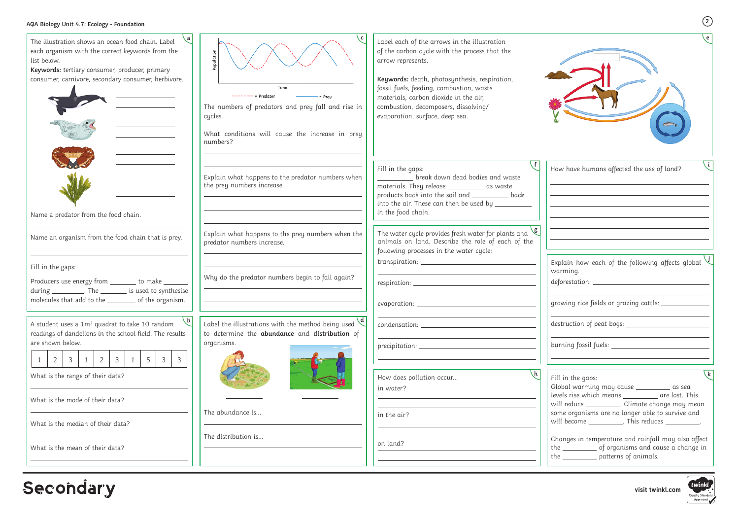**visit twinkl.com**



| AQA Biology Unit 4.7: Ecology - Foundation                                                                                                                                                                                                          |                                                                                                                                                          |                                                                                                                                                                                                                                                                                                                                     | (2)                                                                                                                                                                         |
|-----------------------------------------------------------------------------------------------------------------------------------------------------------------------------------------------------------------------------------------------------|----------------------------------------------------------------------------------------------------------------------------------------------------------|-------------------------------------------------------------------------------------------------------------------------------------------------------------------------------------------------------------------------------------------------------------------------------------------------------------------------------------|-----------------------------------------------------------------------------------------------------------------------------------------------------------------------------|
| The illustration shows an ocean food chain. Label<br>each organism with the correct keywords from the<br>list below.<br>Keywords: tertiary consumer, producer, primary<br>consumer, carnivore, secondary consumer, herbivore.                       | Time<br>$--- = Predator$<br>The numbers of predators and prey fall and rise in<br>cycles.<br>What conditions will cause the increase in prey<br>numbers? | Label each of the arrows in the illustration<br>of the carbon cycle with the process that the<br>arrow represents.<br>Keywords: death, photosynthesis, respiration,<br>fossil fuels, feeding, combustion, waste<br>materials, carbon dioxide in the air,<br>combustion, decomposers, dissolving/<br>evaporation, surface, deep sea. |                                                                                                                                                                             |
| Name a predator from the food chain.                                                                                                                                                                                                                | Explain what happens to the predator numbers when<br>the prey numbers increase.                                                                          | Fill in the gaps:<br>break down dead bodies and waste<br>materials. They release ____________ as waste<br>products back into the soil and ____________ back<br>into the air. These can then be used by $\_\_$<br>in the food chain.                                                                                                 | How have humans affected the use of land?                                                                                                                                   |
| Name an organism from the food chain that is prey.                                                                                                                                                                                                  | Explain what happens to the prey numbers when the<br>predator numbers increase.                                                                          | The water cycle provides fresh water for plants and $\setminus$<br>animals on land. Describe the role of each of the<br>following processes in the water cycle:                                                                                                                                                                     |                                                                                                                                                                             |
| Fill in the gaps:<br>Producers use energy from _______ to make _____<br>during ____________. The ___________ is used to synthesise<br>molecules that add to the __________ of the organism.                                                         | Why do the predator numbers begin to fall again?                                                                                                         |                                                                                                                                                                                                                                                                                                                                     | Explain how each of the following affects global $\vee$<br>warming.<br>deforestation: ______________________<br>growing rice fields or grazing cattle: _____________        |
| A student uses a $1m^2$ quadrat to take 10 random<br>readings of dandelions in the school field. The results<br>are shown below.<br>$1 \mid 2 \mid 3 \mid 1 \mid 2 \mid 3$<br>$\overline{3}$<br>$5\overline{)}$<br>$\overline{1}$<br>$\overline{3}$ | Label the illustrations with the method being used<br>to determine the abundance and distribution of<br>organisms.                                       |                                                                                                                                                                                                                                                                                                                                     | <u> 1989 - Johann Barn, fransk politik formuler (d. 1989)</u>                                                                                                               |
| What is the range of their data?<br>What is the mode of their data?                                                                                                                                                                                 |                                                                                                                                                          | How does pollution occur<br>in water?                                                                                                                                                                                                                                                                                               | Fill in the gaps:<br>Global warming may cause ___________ as sea<br>levels rise which means ____________ are lost. This<br>will reduce ___________. Climate change may mean |
| What is the median of their data?                                                                                                                                                                                                                   | The abundance is                                                                                                                                         | in the air?                                                                                                                                                                                                                                                                                                                         | some organisms are no longer able to survive and<br>will become ____________. This reduces ____________.                                                                    |
| What is the mean of their data?                                                                                                                                                                                                                     | The distribution is                                                                                                                                      | on land?                                                                                                                                                                                                                                                                                                                            | Changes in temperature and rainfall may also affect<br>the ____________ of organisms and cause a change in<br>the ___________ patterns of animals.                          |

econdar y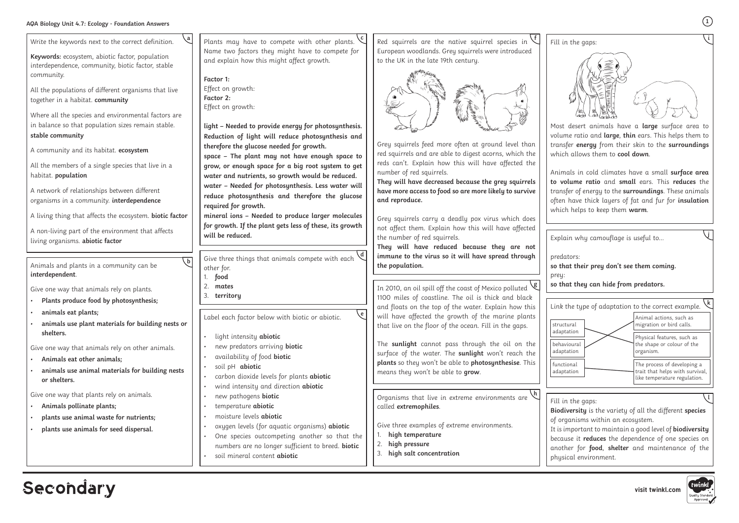### **AQA Biology Unit 4.7: Ecology - Foundation Answers**

**visit twinkl.com**

Most desert animals have a **large** surface area to volume ratio and **large**, **thin** ears. This helps them to transfer **energy** from their skin to the **surroundings**  which allows them to **cool down**.

Animals in cold climates have a small **surface area to volume ratio** and **small** ears. This **reduces** the transfer of energy to the **surroundings**. These animals often have thick layers of fat and fur for **insulation**  which helps to keep them **warm**.

**i**

**1**

| Write the keywords next to the correct definition.                                                                                                         | Plants may have to compete with other plants.                                                                                                                                                                                                                                                                                               | Red squirrels are the native squirrel species in                                                                                                                                                     | Fill in the gaps:                                                                                                                    |
|------------------------------------------------------------------------------------------------------------------------------------------------------------|---------------------------------------------------------------------------------------------------------------------------------------------------------------------------------------------------------------------------------------------------------------------------------------------------------------------------------------------|------------------------------------------------------------------------------------------------------------------------------------------------------------------------------------------------------|--------------------------------------------------------------------------------------------------------------------------------------|
| Keywords: ecosystem, abiotic factor, population<br>interdependence, community, biotic factor, stable<br>community.                                         | Name two factors they might have to compete for<br>and explain how this might affect growth.<br>Factor 1:                                                                                                                                                                                                                                   | European woodlands. Grey squirrels were introduced<br>to the UK in the late 19th century.                                                                                                            |                                                                                                                                      |
| All the populations of different organisms that live<br>together in a habitat. community                                                                   | Effect on growth:<br>Factor 2:<br>Effect on growth:                                                                                                                                                                                                                                                                                         |                                                                                                                                                                                                      |                                                                                                                                      |
| Where all the species and environmental factors are<br>in balance so that population sizes remain stable.<br>stable community                              | light - Needed to provide energy for photosynthesis.<br>Reduction of light will reduce photosynthesis and<br>therefore the glucose needed for growth.                                                                                                                                                                                       | Grey squirrels feed more often at ground level than                                                                                                                                                  | Most desert an<br>volume ratio ar<br>transfer energy                                                                                 |
| A community and its habitat. ecosystem<br>All the members of a single species that live in a<br>habitat. population                                        | space - The plant may not have enough space to<br>grow, or enough space for a big root system to get<br>water and nutrients, so growth would be reduced.                                                                                                                                                                                    | red squirrels and are able to digest acorns, which the<br>reds can't. Explain how this will have affected the<br>number of red squirrels.                                                            | which allows th<br>Animals in cold                                                                                                   |
| A network of relationships between different<br>organisms in a community. interdependence                                                                  | water - Needed for photosynthesis. Less water will<br>reduce photosynthesis and therefore the glucose<br>required for growth.                                                                                                                                                                                                               | They will have decreased because the grey squirrels<br>have more access to food so are more likely to survive<br>and reproduce.                                                                      | to volume rati<br>transfer of ener<br>often have thic<br>which helps to                                                              |
| A living thing that affects the ecosystem. biotic factor<br>A non-living part of the environment that affects<br>living organisms. abiotic factor          | mineral ions - Needed to produce larger molecules<br>for growth. If the plant gets less of these, its growth<br>will be reduced.                                                                                                                                                                                                            | Grey squirrels carry a deadly pox virus which does<br>not affect them. Explain how this will have affected<br>the number of red squirrels.                                                           | Explain why ca                                                                                                                       |
|                                                                                                                                                            | Give three things that animals compete with each                                                                                                                                                                                                                                                                                            | They will have reduced because they are not<br>immune to the virus so it will have spread through                                                                                                    | predators:                                                                                                                           |
| Animals and plants in a community can be                                                                                                                   | other for.                                                                                                                                                                                                                                                                                                                                  | the population.                                                                                                                                                                                      | so that their pr                                                                                                                     |
| interdependent.<br>Give one way that animals rely on plants.<br>Plants produce food by photosynthesis;                                                     | food<br>2.<br>mates<br>3.<br>territory                                                                                                                                                                                                                                                                                                      | In 2010, an oil spill off the coast of Mexico polluted<br>1100 miles of coastline. The oil is thick and black                                                                                        | prey:<br>so that they ca                                                                                                             |
| animals eat plants;<br>animals use plant materials for building nests or<br>shelters.                                                                      | $\sqrt{6}$<br>Label each factor below with biotic or abiotic.                                                                                                                                                                                                                                                                               | and floats on the top of the water. Explain how this<br>will have affected the growth of the marine plants<br>that live on the floor of the ocean. Fill in the gaps.                                 | Link the type of<br>structural<br>adaptation                                                                                         |
| Give one way that animals rely on other animals.<br>Animals eat other animals;<br>animals use animal materials for building nests<br>or shelters.          | light intensity abiotic<br>$\bullet$<br>new predators arriving biotic<br>availability of food biotic<br>soil pH abiotic<br>carbon dioxide levels for plants abiotic                                                                                                                                                                         | The sunlight cannot pass through the oil on the<br>surface of the water. The sunlight won't reach the<br>plants so they won't be able to photosynthesise. This<br>means they won't be able to grow.  | behavioural<br>adaptation<br>functional<br>adaptation                                                                                |
| Give one way that plants rely on animals.<br>Animals pollinate plants;<br>plants use animal waste for nutrients;<br>plants use animals for seed dispersal. | wind intensity and direction abiotic<br>new pathogens biotic<br>$\bullet$<br>temperature abiotic<br>moisture levels abiotic<br>oxygen levels (for aquatic organisms) abiotic<br>$\bullet$<br>One species outcompeting another so that the<br>numbers are no longer sufficient to breed. biotic<br>soil mineral content abiotic<br>$\bullet$ | Organisms that live in extreme environments are<br>called extremophiles.<br>Give three examples of extreme environments.<br>high temperature<br>2.<br>high pressure<br>3.<br>high salt concentration | Fill in the gaps:<br>Biodiversity is<br>of organisms w<br>It is important t<br>because it redu<br>another for for<br>physical enviro |

## **Secondary**



Explain why camouflage is useful to…

predators: **so that their prey don't see them coming.** prey: **so that they can hide from predators.**

**j**

**Biodiversity** is the variety of all the different **species** of organisms within an ecosystem.

It is important to maintain a good level of **biodiversity**  because it **reduces** the dependence of one species on another for **food**, **shelter** and maintenance of the physical environment.



 $\sqrt{1}$ 

| ĸ<br>Link the type of adaptation to the correct example. |                                                                                                |  |
|----------------------------------------------------------|------------------------------------------------------------------------------------------------|--|
| structural<br>adaptation                                 | Animal actions, such as<br>migration or bird calls.                                            |  |
| behavioural<br>adaptation                                | Physical features, such as<br>the shape or colour of the<br>organism.                          |  |
| functional<br>adaptation                                 | The process of developing a<br>trait that helps with survival,<br>like temperature regulation. |  |